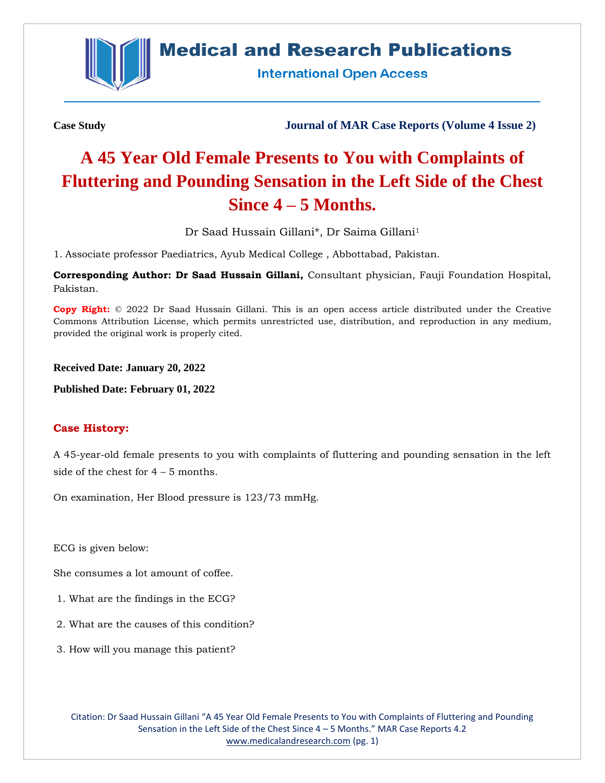

# **Medical and Research Publications**

**International Open Access** 

**Case Study Journal of MAR Case Reports (Volume 4 Issue 2)**

# **A 45 Year Old Female Presents to You with Complaints of Fluttering and Pounding Sensation in the Left Side of the Chest Since 4 – 5 Months.**

Dr Saad Hussain Gillani\*, Dr Saima Gillani<sup>1</sup>

1. Associate professor Paediatrics, Ayub Medical College , Abbottabad, Pakistan.

**Corresponding Author: Dr Saad Hussain Gillani,** Consultant physician, Fauji Foundation Hospital, Pakistan.

**Copy Right:** © 2022 Dr Saad Hussain Gillani. This is an open access article distributed under the Creative Commons Attribution License, which permits unrestricted use, distribution, and reproduction in any medium, provided the original work is properly cited.

**Received Date: January 20, 2022**

**Published Date: February 01, 2022**

## **Case History:**

A 45-year-old female presents to you with complaints of fluttering and pounding sensation in the left side of the chest for 4 – 5 months.

On examination, Her Blood pressure is 123/73 mmHg.

ECG is given below:

She consumes a lot amount of coffee.

- 1. What are the findings in the ECG?
- 2. What are the causes of this condition?
- 3. How will you manage this patient?

Citation: Dr Saad Hussain Gillani "A 45 Year Old Female Presents to You with Complaints of Fluttering and Pounding Sensation in the Left Side of the Chest Since 4 – 5 Months." MAR Case Reports 4.2 [www.medicalandresearch.com](http://www.medicalandresearch.com/) (pg. 1)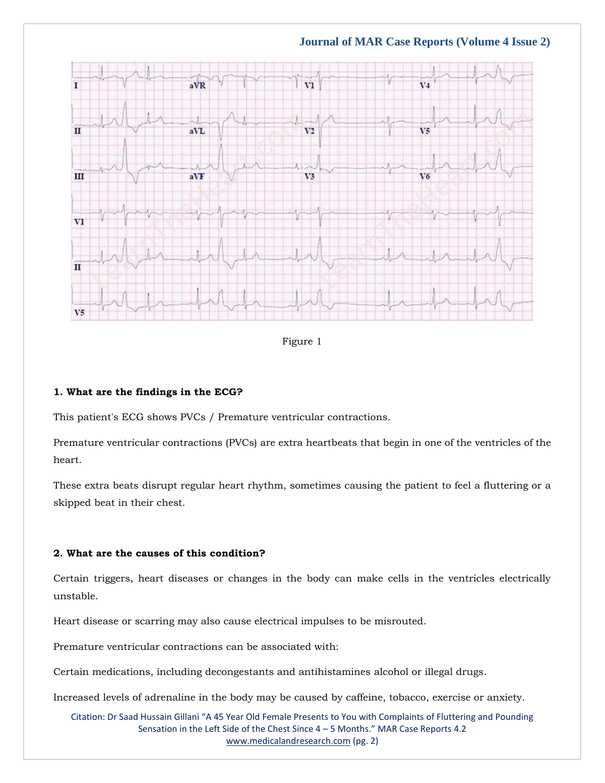**Journal of MAR Case Reports (Volume 4 Issue 2)**



Figure 1

#### **1. What are the findings in the ECG?**

This patient's ECG shows PVCs / Premature ventricular contractions.

Premature ventricular contractions (PVCs) are extra heartbeats that begin in one of the ventricles of the heart.

These extra beats disrupt regular heart rhythm, sometimes causing the patient to feel a fluttering or a skipped beat in their chest.

#### **2. What are the causes of this condition?**

Certain triggers, heart diseases or changes in the body can make cells in the ventricles electrically unstable.

Heart disease or scarring may also cause electrical impulses to be misrouted.

Premature ventricular contractions can be associated with:

Certain medications, including decongestants and antihistamines alcohol or illegal drugs.

Increased levels of adrenaline in the body may be caused by caffeine, tobacco, exercise or anxiety.

Citation: Dr Saad Hussain Gillani "A 45 Year Old Female Presents to You with Complaints of Fluttering and Pounding Sensation in the Left Side of the Chest Since 4 – 5 Months." MAR Case Reports 4.2 [www.medicalandresearch.com](http://www.medicalandresearch.com/) (pg. 2)